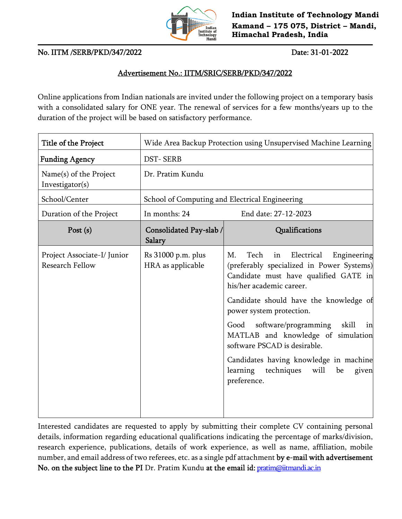

**Indian Institute of Technology Mandi Kamand – 175 075, District – Mandi, Himachal Pradesh, India**

## No. IITM /SERB/PKD/347/2022 Date: 31-01-2022

## Advertisement No.: IITM/SRIC/SERB/PKD/347/2022

Online applications from Indian nationals are invited under the following project on a temporary basis with a consolidated salary for ONE year. The renewal of services for a few months/years up to the duration of the project will be based on satisfactory performance.

| Title of the Project                                  | Wide Area Backup Protection using Unsupervised Machine Learning |                                                                                                                                                                                                                                                                                                                                                                                                                                                                      |
|-------------------------------------------------------|-----------------------------------------------------------------|----------------------------------------------------------------------------------------------------------------------------------------------------------------------------------------------------------------------------------------------------------------------------------------------------------------------------------------------------------------------------------------------------------------------------------------------------------------------|
| <b>Funding Agency</b>                                 | <b>DST-SERB</b>                                                 |                                                                                                                                                                                                                                                                                                                                                                                                                                                                      |
| Name(s) of the Project<br>Investigator(s)             | Dr. Pratim Kundu                                                |                                                                                                                                                                                                                                                                                                                                                                                                                                                                      |
| School/Center                                         | School of Computing and Electrical Engineering                  |                                                                                                                                                                                                                                                                                                                                                                                                                                                                      |
| Duration of the Project                               | In months: 24                                                   | End date: 27-12-2023                                                                                                                                                                                                                                                                                                                                                                                                                                                 |
| Post $(s)$                                            | Consolidated Pay-slab /<br>Salary                               | Qualifications                                                                                                                                                                                                                                                                                                                                                                                                                                                       |
| Project Associate-I/ Junior<br><b>Research Fellow</b> | Rs 31000 p.m. plus<br>HRA as applicable                         | Tech<br>М.<br>Electrical<br>Engineering<br>in<br>(preferably specialized in Power Systems)<br>Candidate must have qualified GATE in<br>his/her academic career.<br>Candidate should have the knowledge of<br>power system protection.<br>software/programming<br>skill<br>Good<br>in<br>MATLAB and knowledge of simulation<br>software PSCAD is desirable.<br>Candidates having knowledge in machine<br>learning<br>techniques<br>will<br>be<br>given<br>preference. |

Interested candidates are requested to apply by submitting their complete CV containing personal details, information regarding educational qualifications indicating the percentage of marks/division, research experience, publications, details of work experience, as well as name, affiliation, mobile number, and email address of two referees, etc. as a single pdf attachment by e-mail with advertisement No. on the subject line to the PI Dr. Pratim Kundu at the email id: pratim@iitmandi.ac.in